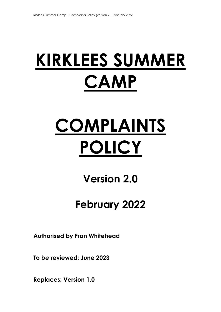# **KIRKLEES SUMMER CAMP**

# **COMPLAINTS POLICY**

# **Version 2.0**

## **February 2022**

**Authorised by Fran Whitehead** 

**To be reviewed: June 2023** 

**Replaces: Version 1.0**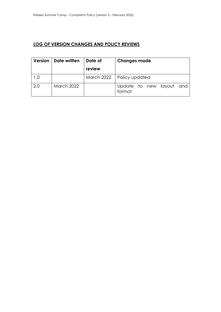## **LOG OF VERSION CHANGES AND POLICY REVIEWS**

|     | Version   Date written | Date of | <b>Changes made</b>                |
|-----|------------------------|---------|------------------------------------|
|     |                        | review  |                                    |
|     |                        |         | March 2022   Policy updated        |
| 2.0 | <b>March 2022</b>      |         | Update to new layout and<br>format |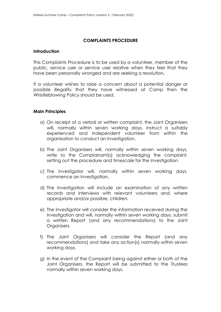### **COMPLAINTS PROCEDURE**

### **Introduction**

This Complaints Procedure is to be used by a volunteer, member of the public, service user or service user relative when they feel that they have been personally wronged and are seeking a resolution.

If a volunteer wishes to raise a concern about a potential danger or possible illegality that they have witnessed at Camp then the Whistleblowing Policy should be used.

### **Main Principles**

- a) On receipt of a verbal or written complaint, the Joint Organisers will, normally within seven working days, instruct a suitably experienced and independent volunteer from within the organisation to conduct an Investigation.
- b) The Joint Organisers will, normally within seven working days, write to the Complainant(s) acknowledging the complaint, setting out the procedure and timescale for the Investigation.
- c) The Investigator will, normally within seven working days, commence an Investigation.
- d) The Investigation will include an examination of any written records and interviews with relevant volunteers and, where appropriate and/or possible, children.
- e) The Investigator will consider the information received during the Investigation and will, normally within seven working days, submit a written Report (and any recommendations) to the Joint Organisers.
- f) The Joint Organisers will consider the Report (and any recommendations) and take any action(s) normally within seven working days.
- g) In the event of the Complaint being against either or both of the Joint Organisers, the Report will be submitted to the Trustees normally within seven working days.